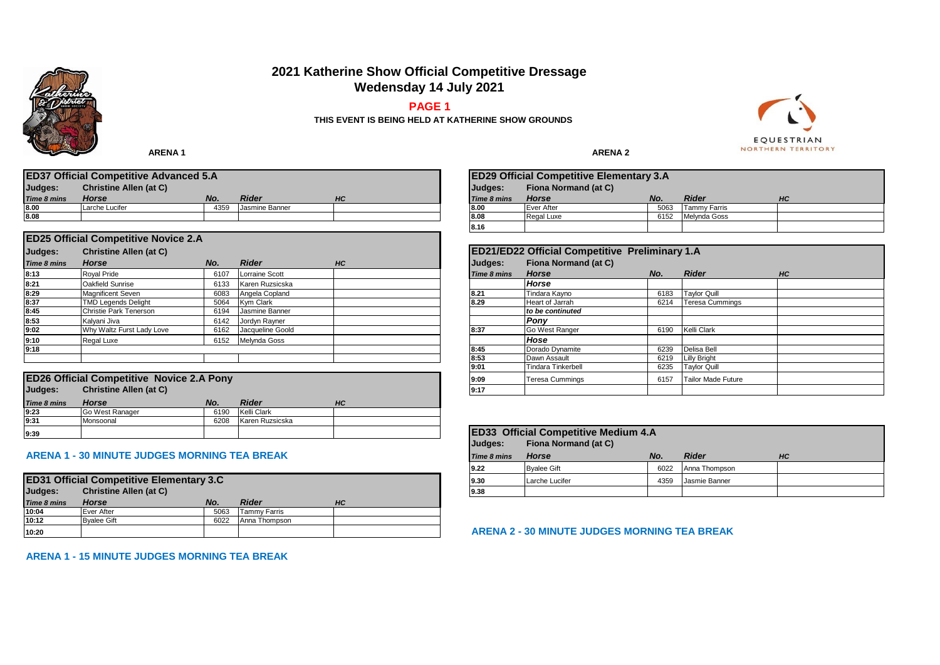# **2021 Katherine Show Official Competitive Dressage Wedensday 14 July 2021**

#### **PAGE 1**



**THIS EVENT IS BEING HELD AT KATHERINE SHOW GROUNDS**

**ARENA 1** ARENA 2

| <b>\RENA</b> |  |
|--------------|--|
|--------------|--|

|             | <b>ED37 Official Competitive Advanced 5.A</b> |      |                |           |             | <b>ED29 Official Competitive Elementary 3.A</b> |      |              |    |
|-------------|-----------------------------------------------|------|----------------|-----------|-------------|-------------------------------------------------|------|--------------|----|
| Judges:     | <b>Christine Allen (at C)</b>                 |      |                |           | Judges:     | Fiona Normand (at C)                            |      |              |    |
| Time 8 mins | <b>Horse</b>                                  | No.  | Rider          | <b>HC</b> | Time 8 mins | <b>Horse</b>                                    | No.  | <b>Rider</b> | HC |
| 8.00        | Larche Lucifer                                | 4359 | Jasmine Banner |           | 18.00       | Ever After                                      | 5063 | Tammy Farris |    |
| 8.08        |                                               |      |                |           | 18.08       | Regal Luxe                                      | 6152 | Melvnda Goss |    |
|             |                                               |      |                |           | .           |                                                 |      |              |    |

|             | <b>ED25 Official Competitive Novice 2.A</b> |      |                       |    |      |             |                                                |      |                        |  |
|-------------|---------------------------------------------|------|-----------------------|----|------|-------------|------------------------------------------------|------|------------------------|--|
| Judges:     | <b>Christine Allen (at C)</b>               |      |                       |    |      |             | ED21/ED22 Official Competitive Preliminary 1.A |      |                        |  |
| Time 8 mins | <b>Horse</b>                                | No.  | <b>Rider</b>          | HC |      | Judges:     | <b>Fiona Normand (at C)</b>                    |      |                        |  |
| 8:13        | <b>Roval Pride</b>                          | 6107 | <b>Lorraine Scott</b> |    |      | Time 8 mins | <b>Horse</b>                                   | No.  | <b>Rider</b>           |  |
| 8:21        | Oakfield Sunrise                            | 6133 | Karen Ruzsicska       |    |      |             | <b>Horse</b>                                   |      |                        |  |
| 8:29        | <b>Magnificent Seven</b>                    | 6083 | Angela Copland        |    | 8.21 |             | Tindara Kayno                                  | 6183 | <b>Taylor Quill</b>    |  |
| 8:37        | <b>TMD Legends Delight</b>                  | 5064 | Kvm Clark             |    |      | 8.29        | Heart of Jarrah                                | 6214 | <b>Teresa Cummings</b> |  |
| 8:45        | Christie Park Tenerson                      | 6194 | Jasmine Banner        |    |      |             | to be continuted                               |      |                        |  |
| 8:53        | Kalvani Jiva                                | 6142 | Jordyn Rayner         |    |      |             | Pony                                           |      |                        |  |
| 9:02        | Why Waltz Furst Lady Love                   | 6162 | Jacqueline Goold      |    |      | 8:37        | Go West Ranger                                 | 6190 | Kelli Clark            |  |
| 9:10        | Regal Luxe                                  | 6152 | Melynda Goss          |    |      |             | Hose                                           |      |                        |  |
| 9:18        |                                             |      |                       |    |      | 8:45        | Dorado Dynamite                                | 6239 | Delisa Bell            |  |
|             |                                             |      |                       |    |      | 8:53        | Dawn Assault                                   | 6219 | <b>Lilly Bright</b>    |  |
|             |                                             |      |                       |    |      |             |                                                |      | ---- - - - -           |  |

|             | <b>ED26 Official Competitive Novice 2.A Pony</b> |      |                 |    | 9:09 |
|-------------|--------------------------------------------------|------|-----------------|----|------|
| Judges:     | <b>Christine Allen (at C)</b>                    |      |                 |    | 9:17 |
| Time 8 mins | <b>Horse</b>                                     | No.  | <b>Rider</b>    | HС |      |
| 9:23        | Go West Ranager                                  | 6190 | Kelli Clark     |    |      |
| 9:31        | Monsoonal                                        | 6208 | Karen Ruzsicska |    |      |
| 9:39        |                                                  |      |                 |    | ED   |

| <b>ARENA 1 - 30 MINUTE JUDGES MORNING TEA BREAK</b> |  |
|-----------------------------------------------------|--|

|             | <b>ED31 Official Competitive Elementary 3.C</b> |      |                     |    | 9.30 |
|-------------|-------------------------------------------------|------|---------------------|----|------|
| Judges:     | <b>Christine Allen (at C)</b>                   |      |                     |    | 9.38 |
| Time 8 mins | <b>Horse</b>                                    | No.  | <b>Rider</b>        | HС |      |
| 10:04       | Ever After                                      | 5063 | <b>Tammy Farris</b> |    |      |
| 10:12       | <b>Byalee Gift</b>                              | 6022 | Anna Thompson       |    |      |
| 10:20       |                                                 |      |                     |    | AR   |

|             | <b>ED29 Official Competitive Elementary 3.A</b> |      |              |    |  |  |  |
|-------------|-------------------------------------------------|------|--------------|----|--|--|--|
| Judges:     | <b>Fiona Normand (at C)</b>                     |      |              |    |  |  |  |
| Time 8 mins | Horse                                           | No.  | <b>Rider</b> | HС |  |  |  |
| 8.00        | Ever After                                      | 5063 | Tammv Farris |    |  |  |  |
| 8.08        | Regal Luxe                                      | 6152 | Melvnda Goss |    |  |  |  |
| 8.16        |                                                 |      |              |    |  |  |  |

|             | ED21/ED22 Official Competitive Preliminary 1.A |      |                           |    |  |
|-------------|------------------------------------------------|------|---------------------------|----|--|
| Judges:     | <b>Fiona Normand (at C)</b>                    |      |                           |    |  |
| Time 8 mins | <b>Horse</b>                                   | No.  | <b>Rider</b>              | HС |  |
|             | Horse                                          |      |                           |    |  |
| 8.21        | Tindara Kayno                                  | 6183 | <b>Taylor Quill</b>       |    |  |
| 8.29        | Heart of Jarrah                                | 6214 | Teresa Cummings           |    |  |
|             | to be continuted                               |      |                           |    |  |
|             | Pony                                           |      |                           |    |  |
| 8:37        | Go West Ranger                                 | 6190 | Kelli Clark               |    |  |
|             | Hose                                           |      |                           |    |  |
| 8:45        | Dorado Dynamite                                | 6239 | Delisa Bell               |    |  |
| 8:53        | Dawn Assault                                   | 6219 | <b>Lilly Bright</b>       |    |  |
| 9:01        | Tindara Tinkerbell                             | 6235 | <b>Taylor Quill</b>       |    |  |
| 9:09        | Teresa Cummings                                | 6157 | <b>Tailor Made Future</b> |    |  |
| 9:17        |                                                |      |                           |    |  |

| <b>ED33 Official Competitive Medium 4.A</b><br>Fiona Normand (at C)<br>Judges: |                    |      |               |    |  |  |
|--------------------------------------------------------------------------------|--------------------|------|---------------|----|--|--|
| <b>Time 8 mins</b>                                                             | Horse              | No.  | <b>Rider</b>  | HС |  |  |
| 9.22                                                                           | <b>Byalee Gift</b> | 6022 | Anna Thompson |    |  |  |
| 9.30                                                                           | Larche Lucifer     | 4359 | Jasmie Banner |    |  |  |
| 9.38                                                                           |                    |      |               |    |  |  |

**10:20 ARENA 2 - 30 MINUTE JUDGES MORNING TEA BREAK**

**ARENA 1 - 15 MINUTE JUDGES MORNING TEA BREAK**